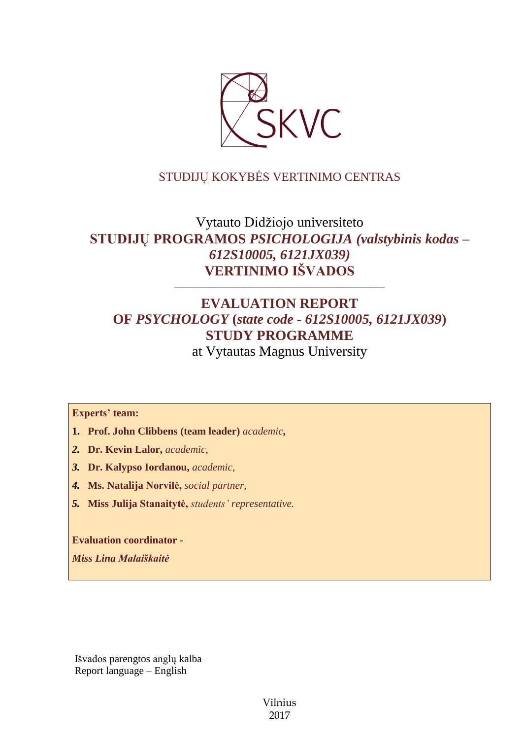

## STUDIJŲ KOKYBĖS VERTINIMO CENTRAS

# Vytauto Didžiojo universiteto **STUDIJŲ PROGRAMOS** *PSICHOLOGIJA (valstybinis kodas – 612S10005, 6121JX039)* **VERTINIMO IŠVADOS**

# **EVALUATION REPORT OF** *PSYCHOLOGY* **(***state code - 612S10005, 6121JX039***) STUDY PROGRAMME**

––––––––––––––––––––––––––––––

at Vytautas Magnus University

#### **Experts' team:**

- **1. Prof. John Clibbens (team leader)** *academic***,**
- *2.* **Dr. Kevin Lalor,** *academic,*
- *3.* **Dr. Kalypso Iordanou,** *academic,*
- *4.* **Ms. Natalija Norvilė,** *social partner,*
- *5.* **Miss Julija Stanaitytė,** *students' representative.*

**Evaluation coordinator -**

*Miss Lina Malaiškaitė*

Išvados parengtos anglų kalba Report language – English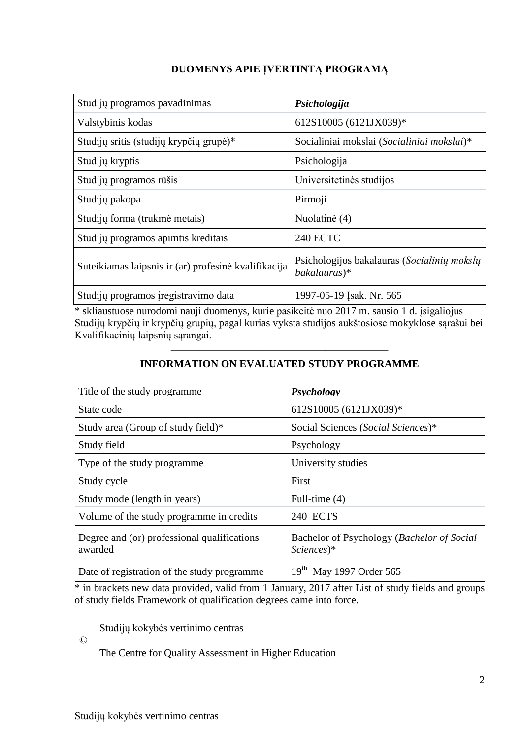## **DUOMENYS APIE ĮVERTINTĄ PROGRAMĄ**

| Studijų programos pavadinimas                        | Psichologija                                                |
|------------------------------------------------------|-------------------------------------------------------------|
| Valstybinis kodas                                    | 612S10005 (6121JX039)*                                      |
| Studijų sritis (studijų krypčių grupė)*              | Socialiniai mokslai (Socialiniai mokslai)*                  |
| Studijų kryptis                                      | Psichologija                                                |
| Studijų programos rūšis                              | Universitetinės studijos                                    |
| Studijų pakopa                                       | Pirmoji                                                     |
| Studijų forma (trukmė metais)                        | Nuolatinė (4)                                               |
| Studijų programos apimtis kreditais                  | <b>240 ECTC</b>                                             |
| Suteikiamas laipsnis ir (ar) profesinė kvalifikacija | Psichologijos bakalauras (Socialinių mokslų<br>bakalauras)* |
| Studijų programos įregistravimo data                 | 1997-05-19 Isak. Nr. 565                                    |

\* skliaustuose nurodomi nauji duomenys, kurie pasikeitė nuo 2017 m. sausio 1 d. įsigaliojus Studijų krypčių ir krypčių grupių, pagal kurias vyksta studijos aukštosiose mokyklose sąrašui bei Kvalifikacinių laipsnių sąrangai.

# ––––––––––––––––––––––––––––––– **INFORMATION ON EVALUATED STUDY PROGRAMME**

| Title of the study programme.                          | Psychology                                                            |
|--------------------------------------------------------|-----------------------------------------------------------------------|
| State code                                             | 612S10005 (6121JX039)*                                                |
| Study area (Group of study field)*                     | Social Sciences (Social Sciences)*                                    |
| Study field                                            | Psychology                                                            |
| Type of the study programme.                           | University studies                                                    |
| Study cycle                                            | First                                                                 |
| Study mode (length in years)                           | Full-time (4)                                                         |
| Volume of the study programme in credits               | 240 ECTS                                                              |
| Degree and (or) professional qualifications<br>awarded | Bachelor of Psychology (Bachelor of Social<br>$Sciences$ <sup>*</sup> |
| Date of registration of the study programme            | 19 <sup>th</sup> May 1997 Order 565                                   |

\* in brackets new data provided, valid from 1 January, 2017 after List of study fields and groups of study fields Framework of qualification degrees came into force.

Studijų kokybės vertinimo centras

©

The Centre for Quality Assessment in Higher Education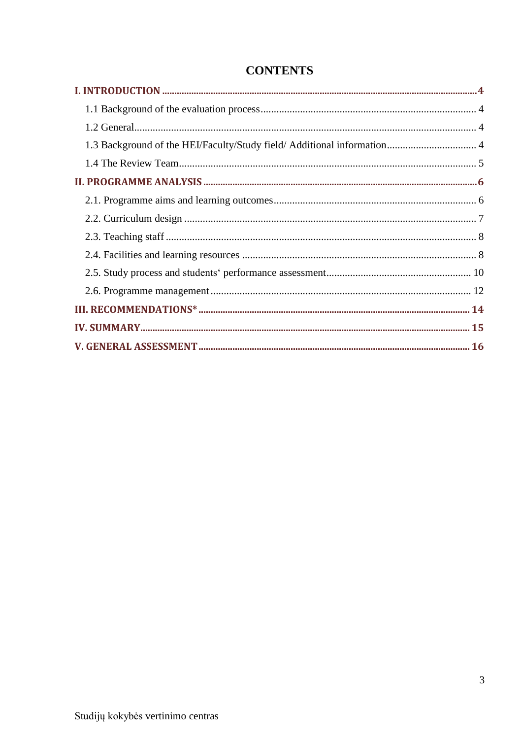# **CONTENTS**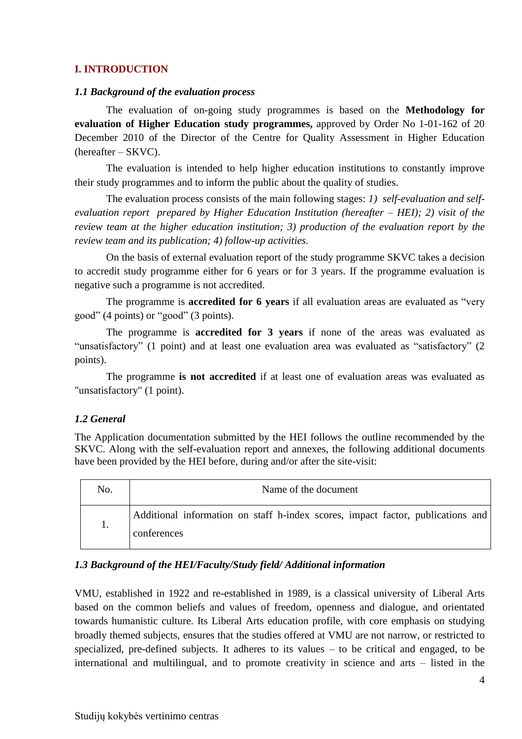#### **I. INTRODUCTION**

#### *1.1 Background of the evaluation process*

The evaluation of on-going study programmes is based on the **Methodology for evaluation of Higher Education study programmes,** approved by Order No 1-01-162 of 20 December 2010 of the Director of the Centre for Quality Assessment in Higher Education (hereafter – SKVC).

The evaluation is intended to help higher education institutions to constantly improve their study programmes and to inform the public about the quality of studies.

The evaluation process consists of the main following stages: *1) self-evaluation and selfevaluation report prepared by Higher Education Institution (hereafter – HEI); 2) visit of the review team at the higher education institution; 3) production of the evaluation report by the review team and its publication; 4) follow-up activities.*

On the basis of external evaluation report of the study programme SKVC takes a decision to accredit study programme either for 6 years or for 3 years. If the programme evaluation is negative such a programme is not accredited.

The programme is **accredited for 6 years** if all evaluation areas are evaluated as "very good" (4 points) or "good" (3 points).

The programme is **accredited for 3 years** if none of the areas was evaluated as "unsatisfactory" (1 point) and at least one evaluation area was evaluated as "satisfactory" (2 points).

The programme **is not accredited** if at least one of evaluation areas was evaluated as "unsatisfactory" (1 point).

#### *1.2 General*

The Application documentation submitted by the HEI follows the outline recommended by the SKVC. Along with the self-evaluation report and annexes, the following additional documents have been provided by the HEI before, during and/or after the site-visit:

| No. | Name of the document                                                                           |  |
|-----|------------------------------------------------------------------------------------------------|--|
|     | Additional information on staff h-index scores, impact factor, publications and<br>conferences |  |

#### *1.3 Background of the HEI/Faculty/Study field/ Additional information*

VMU, established in 1922 and re-established in 1989, is a classical university of Liberal Arts based on the common beliefs and values of freedom, openness and dialogue, and orientated towards humanistic culture. Its Liberal Arts education profile, with core emphasis on studying broadly themed subjects, ensures that the studies offered at VMU are not narrow, or restricted to specialized, pre-defined subjects. It adheres to its values – to be critical and engaged, to be international and multilingual, and to promote creativity in science and arts – listed in the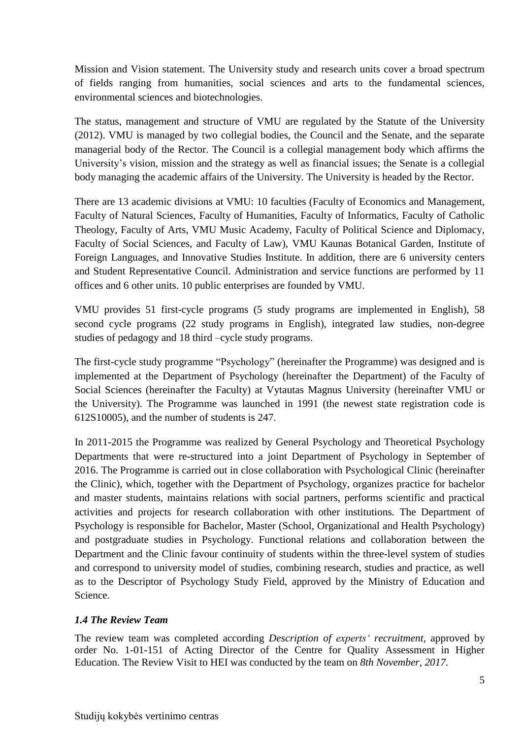Mission and Vision statement. The University study and research units cover a broad spectrum of fields ranging from humanities, social sciences and arts to the fundamental sciences, environmental sciences and biotechnologies.

The status, management and structure of VMU are regulated by the Statute of the University (2012). VMU is managed by two collegial bodies, the Council and the Senate, and the separate managerial body of the Rector. The Council is a collegial management body which affirms the University's vision, mission and the strategy as well as financial issues; the Senate is a collegial body managing the academic affairs of the University. The University is headed by the Rector.

There are 13 academic divisions at VMU: 10 faculties (Faculty of Economics and Management, Faculty of Natural Sciences, Faculty of Humanities, Faculty of Informatics, Faculty of Catholic Theology, Faculty of Arts, VMU Music Academy, Faculty of Political Science and Diplomacy, Faculty of Social Sciences, and Faculty of Law), VMU Kaunas Botanical Garden, Institute of Foreign Languages, and Innovative Studies Institute. In addition, there are 6 university centers and Student Representative Council. Administration and service functions are performed by 11 offices and 6 other units. 10 public enterprises are founded by VMU.

VMU provides 51 first-cycle programs (5 study programs are implemented in English), 58 second cycle programs (22 study programs in English), integrated law studies, non-degree studies of pedagogy and 18 third –cycle study programs.

The first-cycle study programme "Psychology" (hereinafter the Programme) was designed and is implemented at the Department of Psychology (hereinafter the Department) of the Faculty of Social Sciences (hereinafter the Faculty) at Vytautas Magnus University (hereinafter VMU or the University). The Programme was launched in 1991 (the newest state registration code is 612S10005), and the number of students is 247.

In 2011-2015 the Programme was realized by General Psychology and Theoretical Psychology Departments that were re-structured into a joint Department of Psychology in September of 2016. The Programme is carried out in close collaboration with Psychological Clinic (hereinafter the Clinic), which, together with the Department of Psychology, organizes practice for bachelor and master students, maintains relations with social partners, performs scientific and practical activities and projects for research collaboration with other institutions. The Department of Psychology is responsible for Bachelor, Master (School, Organizational and Health Psychology) and postgraduate studies in Psychology. Functional relations and collaboration between the Department and the Clinic favour continuity of students within the three-level system of studies and correspond to university model of studies, combining research, studies and practice, as well as to the Descriptor of Psychology Study Field, approved by the Ministry of Education and Science.

## *1.4 The Review Team*

The review team was completed according *Description of experts' recruitment*, approved by order No. 1-01-151 of Acting Director of the Centre for Quality Assessment in Higher Education. The Review Visit to HEI was conducted by the team on *8th November, 2017.*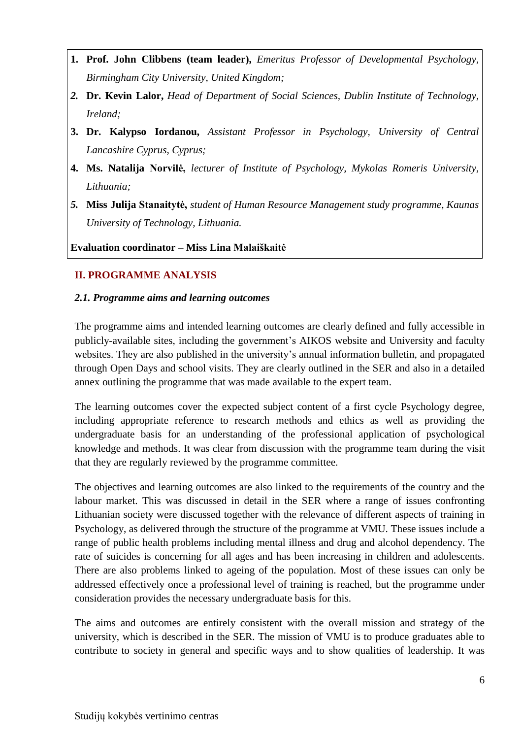- **1. Prof. John Clibbens (team leader),** *Emeritus Professor of Developmental Psychology, Birmingham City University, United Kingdom;*
- *2.* **Dr. Kevin Lalor,** *Head of Department of Social Sciences, Dublin Institute of Technology, Ireland;*
- **3. Dr. Kalypso Iordanou,** *Assistant Professor in Psychology, University of Central Lancashire Cyprus, Cyprus;*
- **4. Ms. Natalija Norvilė,** *lecturer of Institute of Psychology, Mykolas Romeris University, Lithuania;*
- *5.* **Miss Julija Stanaitytė,** *student of Human Resource Management study programme, Kaunas University of Technology, Lithuania.*

**Evaluation coordinator – Miss Lina Malaiškaitė**

#### **II. PROGRAMME ANALYSIS**

#### *2.1. Programme aims and learning outcomes*

The programme aims and intended learning outcomes are clearly defined and fully accessible in publicly-available sites, including the government's AIKOS website and University and faculty websites. They are also published in the university's annual information bulletin, and propagated through Open Days and school visits. They are clearly outlined in the SER and also in a detailed annex outlining the programme that was made available to the expert team.

The learning outcomes cover the expected subject content of a first cycle Psychology degree, including appropriate reference to research methods and ethics as well as providing the undergraduate basis for an understanding of the professional application of psychological knowledge and methods. It was clear from discussion with the programme team during the visit that they are regularly reviewed by the programme committee.

The objectives and learning outcomes are also linked to the requirements of the country and the labour market. This was discussed in detail in the SER where a range of issues confronting Lithuanian society were discussed together with the relevance of different aspects of training in Psychology, as delivered through the structure of the programme at VMU. These issues include a range of public health problems including mental illness and drug and alcohol dependency. The rate of suicides is concerning for all ages and has been increasing in children and adolescents. There are also problems linked to ageing of the population. Most of these issues can only be addressed effectively once a professional level of training is reached, but the programme under consideration provides the necessary undergraduate basis for this.

The aims and outcomes are entirely consistent with the overall mission and strategy of the university, which is described in the SER. The mission of VMU is to produce graduates able to contribute to society in general and specific ways and to show qualities of leadership. It was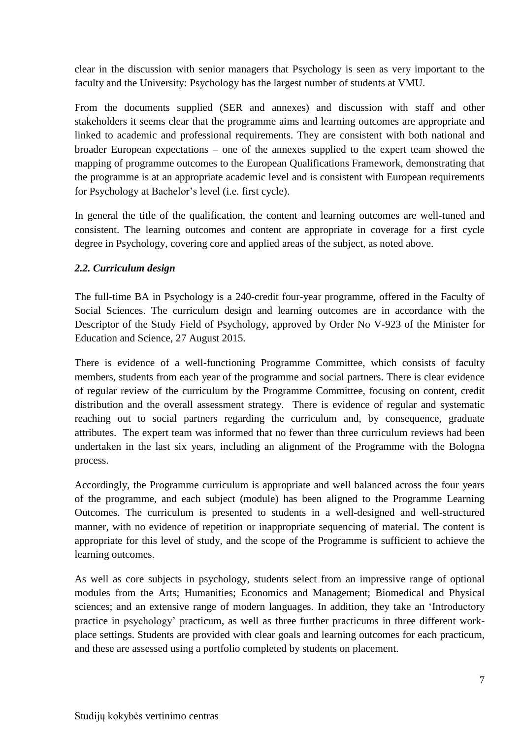clear in the discussion with senior managers that Psychology is seen as very important to the faculty and the University: Psychology has the largest number of students at VMU.

From the documents supplied (SER and annexes) and discussion with staff and other stakeholders it seems clear that the programme aims and learning outcomes are appropriate and linked to academic and professional requirements. They are consistent with both national and broader European expectations – one of the annexes supplied to the expert team showed the mapping of programme outcomes to the European Qualifications Framework, demonstrating that the programme is at an appropriate academic level and is consistent with European requirements for Psychology at Bachelor's level (i.e. first cycle).

In general the title of the qualification, the content and learning outcomes are well-tuned and consistent. The learning outcomes and content are appropriate in coverage for a first cycle degree in Psychology, covering core and applied areas of the subject, as noted above.

#### *2.2. Curriculum design*

The full-time BA in Psychology is a 240-credit four-year programme, offered in the Faculty of Social Sciences. The curriculum design and learning outcomes are in accordance with the Descriptor of the Study Field of Psychology, approved by Order No V-923 of the Minister for Education and Science, 27 August 2015.

There is evidence of a well-functioning Programme Committee, which consists of faculty members, students from each year of the programme and social partners. There is clear evidence of regular review of the curriculum by the Programme Committee, focusing on content, credit distribution and the overall assessment strategy. There is evidence of regular and systematic reaching out to social partners regarding the curriculum and, by consequence, graduate attributes. The expert team was informed that no fewer than three curriculum reviews had been undertaken in the last six years, including an alignment of the Programme with the Bologna process.

Accordingly, the Programme curriculum is appropriate and well balanced across the four years of the programme, and each subject (module) has been aligned to the Programme Learning Outcomes. The curriculum is presented to students in a well-designed and well-structured manner, with no evidence of repetition or inappropriate sequencing of material. The content is appropriate for this level of study, and the scope of the Programme is sufficient to achieve the learning outcomes.

As well as core subjects in psychology, students select from an impressive range of optional modules from the Arts; Humanities; Economics and Management; Biomedical and Physical sciences; and an extensive range of modern languages. In addition, they take an 'Introductory practice in psychology' practicum, as well as three further practicums in three different workplace settings. Students are provided with clear goals and learning outcomes for each practicum, and these are assessed using a portfolio completed by students on placement.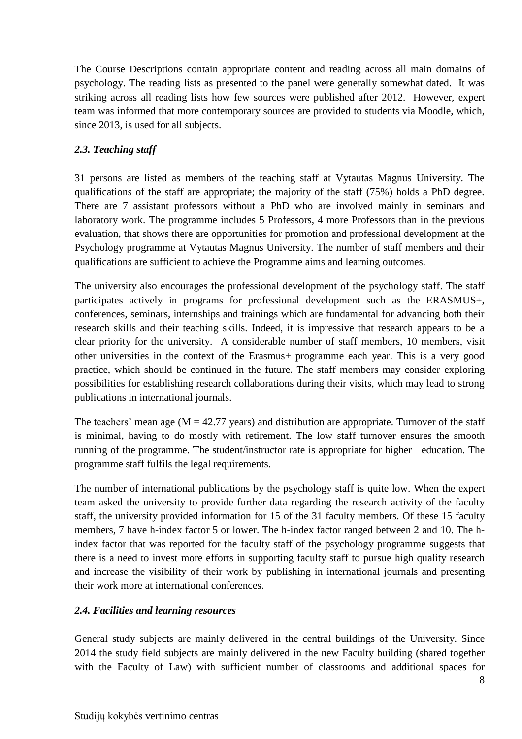The Course Descriptions contain appropriate content and reading across all main domains of psychology. The reading lists as presented to the panel were generally somewhat dated. It was striking across all reading lists how few sources were published after 2012. However, expert team was informed that more contemporary sources are provided to students via Moodle, which, since 2013, is used for all subjects.

#### *2.3. Teaching staff*

31 persons are listed as members of the teaching staff at Vytautas Magnus University. The qualifications of the staff are appropriate; the majority of the staff (75%) holds a PhD degree. There are 7 assistant professors without a PhD who are involved mainly in seminars and laboratory work. The programme includes 5 Professors, 4 more Professors than in the previous evaluation, that shows there are opportunities for promotion and professional development at the Psychology programme at Vytautas Magnus University. The number of staff members and their qualifications are sufficient to achieve the Programme aims and learning outcomes.

The university also encourages the professional development of the psychology staff. The staff participates actively in programs for professional development such as the ERASMUS+, conferences, seminars, internships and trainings which are fundamental for advancing both their research skills and their teaching skills. Indeed, it is impressive that research appears to be a clear priority for the university. A considerable number of staff members, 10 members, visit other universities in the context of the Erasmus+ programme each year. This is a very good practice, which should be continued in the future. The staff members may consider exploring possibilities for establishing research collaborations during their visits, which may lead to strong publications in international journals.

The teachers' mean age ( $M = 42.77$  years) and distribution are appropriate. Turnover of the staff is minimal, having to do mostly with retirement. The low staff turnover ensures the smooth running of the programme. The student/instructor rate is appropriate for higher education. The programme staff fulfils the legal requirements.

The number of international publications by the psychology staff is quite low. When the expert team asked the university to provide further data regarding the research activity of the faculty staff, the university provided information for 15 of the 31 faculty members. Of these 15 faculty members, 7 have h-index factor 5 or lower. The h-index factor ranged between 2 and 10. The hindex factor that was reported for the faculty staff of the psychology programme suggests that there is a need to invest more efforts in supporting faculty staff to pursue high quality research and increase the visibility of their work by publishing in international journals and presenting their work more at international conferences.

#### *2.4. Facilities and learning resources*

General study subjects are mainly delivered in the central buildings of the University. Since 2014 the study field subjects are mainly delivered in the new Faculty building (shared together with the Faculty of Law) with sufficient number of classrooms and additional spaces for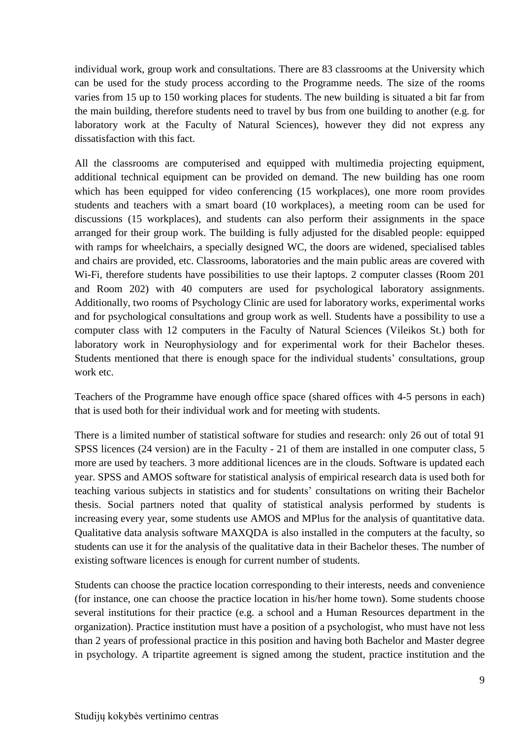individual work, group work and consultations. There are 83 classrooms at the University which can be used for the study process according to the Programme needs. The size of the rooms varies from 15 up to 150 working places for students. The new building is situated a bit far from the main building, therefore students need to travel by bus from one building to another (e.g. for laboratory work at the Faculty of Natural Sciences), however they did not express any dissatisfaction with this fact.

All the classrooms are computerised and equipped with multimedia projecting equipment, additional technical equipment can be provided on demand. The new building has one room which has been equipped for video conferencing (15 workplaces), one more room provides students and teachers with a smart board (10 workplaces), a meeting room can be used for discussions (15 workplaces), and students can also perform their assignments in the space arranged for their group work. The building is fully adjusted for the disabled people: equipped with ramps for wheelchairs, a specially designed WC, the doors are widened, specialised tables and chairs are provided, etc. Classrooms, laboratories and the main public areas are covered with Wi-Fi, therefore students have possibilities to use their laptops. 2 computer classes (Room 201 and Room 202) with 40 computers are used for psychological laboratory assignments. Additionally, two rooms of Psychology Clinic are used for laboratory works, experimental works and for psychological consultations and group work as well. Students have a possibility to use a computer class with 12 computers in the Faculty of Natural Sciences (Vileikos St.) both for laboratory work in Neurophysiology and for experimental work for their Bachelor theses. Students mentioned that there is enough space for the individual students' consultations, group work etc.

Teachers of the Programme have enough office space (shared offices with 4-5 persons in each) that is used both for their individual work and for meeting with students.

There is a limited number of statistical software for studies and research: only 26 out of total 91 SPSS licences (24 version) are in the Faculty - 21 of them are installed in one computer class, 5 more are used by teachers. 3 more additional licences are in the clouds. Software is updated each year. SPSS and AMOS software for statistical analysis of empirical research data is used both for teaching various subjects in statistics and for students' consultations on writing their Bachelor thesis. Social partners noted that quality of statistical analysis performed by students is increasing every year, some students use AMOS and MPlus for the analysis of quantitative data. Qualitative data analysis software MAXQDA is also installed in the computers at the faculty, so students can use it for the analysis of the qualitative data in their Bachelor theses. The number of existing software licences is enough for current number of students.

Students can choose the practice location corresponding to their interests, needs and convenience (for instance, one can choose the practice location in his/her home town). Some students choose several institutions for their practice (e.g. a school and a Human Resources department in the organization). Practice institution must have a position of a psychologist, who must have not less than 2 years of professional practice in this position and having both Bachelor and Master degree in psychology. A tripartite agreement is signed among the student, practice institution and the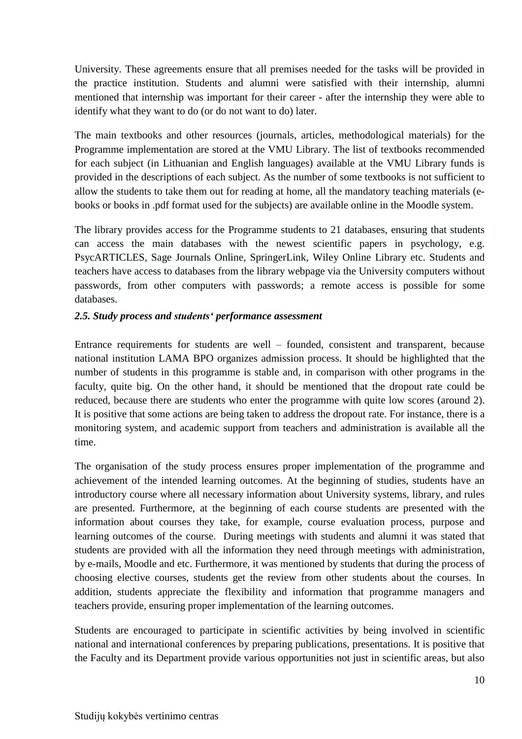University. These agreements ensure that all premises needed for the tasks will be provided in the practice institution. Students and alumni were satisfied with their internship, alumni mentioned that internship was important for their career - after the internship they were able to identify what they want to do (or do not want to do) later.

The main textbooks and other resources (journals, articles, methodological materials) for the Programme implementation are stored at the VMU Library. The list of textbooks recommended for each subject (in Lithuanian and English languages) available at the VMU Library funds is provided in the descriptions of each subject. As the number of some textbooks is not sufficient to allow the students to take them out for reading at home, all the mandatory teaching materials (ebooks or books in .pdf format used for the subjects) are available online in the Moodle system.

The library provides access for the Programme students to 21 databases, ensuring that students can access the main databases with the newest scientific papers in psychology, e.g. PsycARTICLES, Sage Journals Online, SpringerLink, Wiley Online Library etc. Students and teachers have access to databases from the library webpage via the University computers without passwords, from other computers with passwords; a remote access is possible for some databases.

#### *2.5. Study process and students' performance assessment*

Entrance requirements for students are well – founded, consistent and transparent, because national institution LAMA BPO organizes admission process. It should be highlighted that the number of students in this programme is stable and, in comparison with other programs in the faculty, quite big. On the other hand, it should be mentioned that the dropout rate could be reduced, because there are students who enter the programme with quite low scores (around 2). It is positive that some actions are being taken to address the dropout rate. For instance, there is a monitoring system, and academic support from teachers and administration is available all the time.

The organisation of the study process ensures proper implementation of the programme and achievement of the intended learning outcomes. At the beginning of studies, students have an introductory course where all necessary information about University systems, library, and rules are presented. Furthermore, at the beginning of each course students are presented with the information about courses they take, for example, course evaluation process, purpose and learning outcomes of the course. During meetings with students and alumni it was stated that students are provided with all the information they need through meetings with administration, by e-mails, Moodle and etc. Furthermore, it was mentioned by students that during the process of choosing elective courses, students get the review from other students about the courses. In addition, students appreciate the flexibility and information that programme managers and teachers provide, ensuring proper implementation of the learning outcomes.

Students are encouraged to participate in scientific activities by being involved in scientific national and international conferences by preparing publications, presentations. It is positive that the Faculty and its Department provide various opportunities not just in scientific areas, but also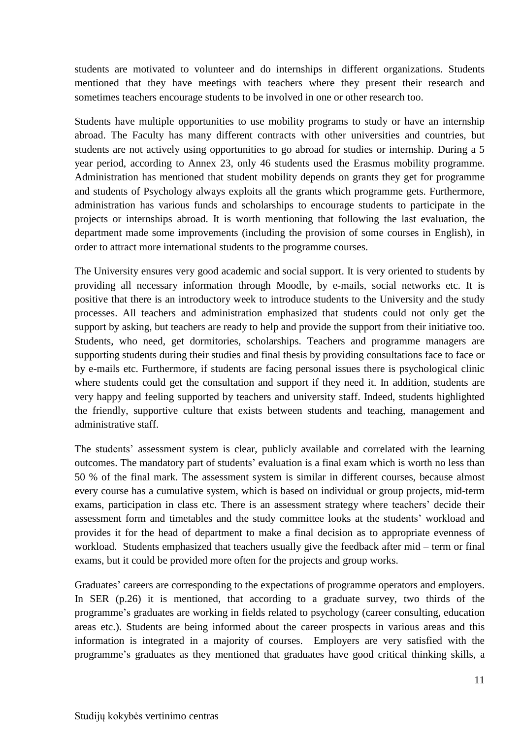students are motivated to volunteer and do internships in different organizations. Students mentioned that they have meetings with teachers where they present their research and sometimes teachers encourage students to be involved in one or other research too.

Students have multiple opportunities to use mobility programs to study or have an internship abroad. The Faculty has many different contracts with other universities and countries, but students are not actively using opportunities to go abroad for studies or internship. During a 5 year period, according to Annex 23, only 46 students used the Erasmus mobility programme. Administration has mentioned that student mobility depends on grants they get for programme and students of Psychology always exploits all the grants which programme gets. Furthermore, administration has various funds and scholarships to encourage students to participate in the projects or internships abroad. It is worth mentioning that following the last evaluation, the department made some improvements (including the provision of some courses in English), in order to attract more international students to the programme courses.

The University ensures very good academic and social support. It is very oriented to students by providing all necessary information through Moodle, by e-mails, social networks etc. It is positive that there is an introductory week to introduce students to the University and the study processes. All teachers and administration emphasized that students could not only get the support by asking, but teachers are ready to help and provide the support from their initiative too. Students, who need, get dormitories, scholarships. Teachers and programme managers are supporting students during their studies and final thesis by providing consultations face to face or by e-mails etc. Furthermore, if students are facing personal issues there is psychological clinic where students could get the consultation and support if they need it. In addition, students are very happy and feeling supported by teachers and university staff. Indeed, students highlighted the friendly, supportive culture that exists between students and teaching, management and administrative staff.

The students' assessment system is clear, publicly available and correlated with the learning outcomes. The mandatory part of students' evaluation is a final exam which is worth no less than 50 % of the final mark. The assessment system is similar in different courses, because almost every course has a cumulative system, which is based on individual or group projects, mid-term exams, participation in class etc. There is an assessment strategy where teachers' decide their assessment form and timetables and the study committee looks at the students' workload and provides it for the head of department to make a final decision as to appropriate evenness of workload. Students emphasized that teachers usually give the feedback after mid – term or final exams, but it could be provided more often for the projects and group works.

Graduates' careers are corresponding to the expectations of programme operators and employers. In SER (p.26) it is mentioned, that according to a graduate survey, two thirds of the programme's graduates are working in fields related to psychology (career consulting, education areas etc.). Students are being informed about the career prospects in various areas and this information is integrated in a majority of courses. Employers are very satisfied with the programme's graduates as they mentioned that graduates have good critical thinking skills, a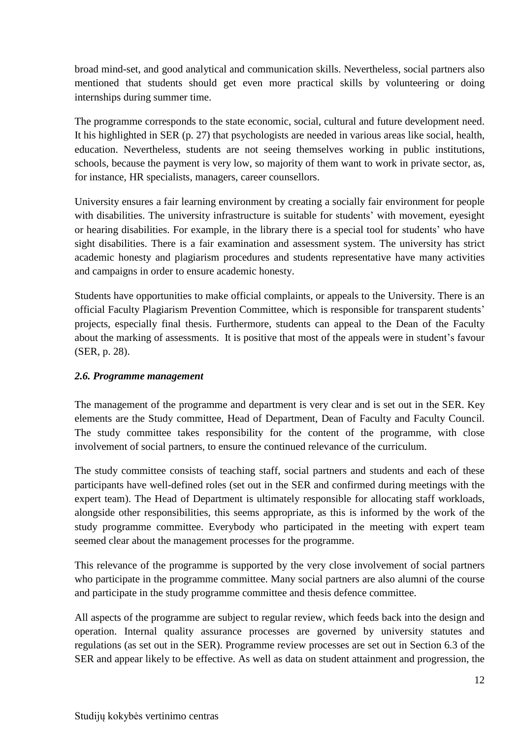broad mind-set, and good analytical and communication skills. Nevertheless, social partners also mentioned that students should get even more practical skills by volunteering or doing internships during summer time.

The programme corresponds to the state economic, social, cultural and future development need. It his highlighted in SER (p. 27) that psychologists are needed in various areas like social, health, education. Nevertheless, students are not seeing themselves working in public institutions, schools, because the payment is very low, so majority of them want to work in private sector, as, for instance, HR specialists, managers, career counsellors.

University ensures a fair learning environment by creating a socially fair environment for people with disabilities. The university infrastructure is suitable for students' with movement, eyesight or hearing disabilities. For example, in the library there is a special tool for students' who have sight disabilities. There is a fair examination and assessment system. The university has strict academic honesty and plagiarism procedures and students representative have many activities and campaigns in order to ensure academic honesty.

Students have opportunities to make official complaints, or appeals to the University. There is an official Faculty Plagiarism Prevention Committee, which is responsible for transparent students' projects, especially final thesis. Furthermore, students can appeal to the Dean of the Faculty about the marking of assessments. It is positive that most of the appeals were in student's favour (SER, p. 28).

## *2.6. Programme management*

The management of the programme and department is very clear and is set out in the SER. Key elements are the Study committee, Head of Department, Dean of Faculty and Faculty Council. The study committee takes responsibility for the content of the programme, with close involvement of social partners, to ensure the continued relevance of the curriculum.

The study committee consists of teaching staff, social partners and students and each of these participants have well-defined roles (set out in the SER and confirmed during meetings with the expert team). The Head of Department is ultimately responsible for allocating staff workloads, alongside other responsibilities, this seems appropriate, as this is informed by the work of the study programme committee. Everybody who participated in the meeting with expert team seemed clear about the management processes for the programme.

This relevance of the programme is supported by the very close involvement of social partners who participate in the programme committee. Many social partners are also alumni of the course and participate in the study programme committee and thesis defence committee.

All aspects of the programme are subject to regular review, which feeds back into the design and operation. Internal quality assurance processes are governed by university statutes and regulations (as set out in the SER). Programme review processes are set out in Section 6.3 of the SER and appear likely to be effective. As well as data on student attainment and progression, the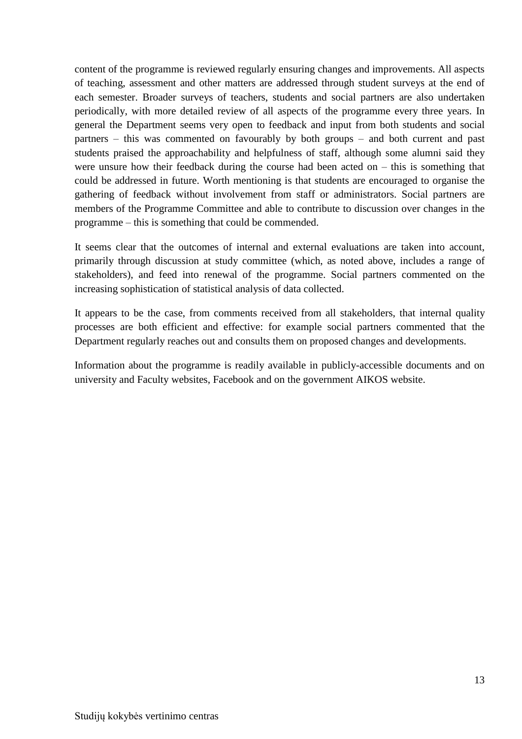content of the programme is reviewed regularly ensuring changes and improvements. All aspects of teaching, assessment and other matters are addressed through student surveys at the end of each semester. Broader surveys of teachers, students and social partners are also undertaken periodically, with more detailed review of all aspects of the programme every three years. In general the Department seems very open to feedback and input from both students and social partners – this was commented on favourably by both groups – and both current and past students praised the approachability and helpfulness of staff, although some alumni said they were unsure how their feedback during the course had been acted on  $-$  this is something that could be addressed in future. Worth mentioning is that students are encouraged to organise the gathering of feedback without involvement from staff or administrators. Social partners are members of the Programme Committee and able to contribute to discussion over changes in the programme – this is something that could be commended.

It seems clear that the outcomes of internal and external evaluations are taken into account, primarily through discussion at study committee (which, as noted above, includes a range of stakeholders), and feed into renewal of the programme. Social partners commented on the increasing sophistication of statistical analysis of data collected.

It appears to be the case, from comments received from all stakeholders, that internal quality processes are both efficient and effective: for example social partners commented that the Department regularly reaches out and consults them on proposed changes and developments.

Information about the programme is readily available in publicly-accessible documents and on university and Faculty websites, Facebook and on the government AIKOS website.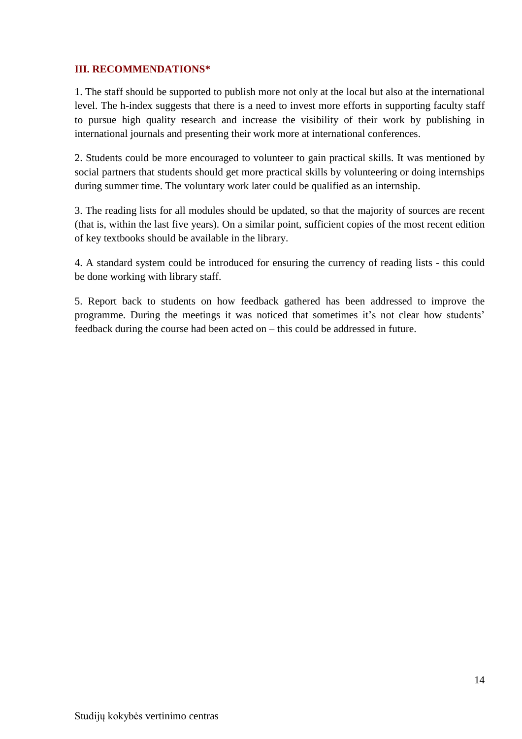#### **III. RECOMMENDATIONS\***

1. The staff should be supported to publish more not only at the local but also at the international level. The h-index suggests that there is a need to invest more efforts in supporting faculty staff to pursue high quality research and increase the visibility of their work by publishing in international journals and presenting their work more at international conferences.

2. Students could be more encouraged to volunteer to gain practical skills. It was mentioned by social partners that students should get more practical skills by volunteering or doing internships during summer time. The voluntary work later could be qualified as an internship.

3. The reading lists for all modules should be updated, so that the majority of sources are recent (that is, within the last five years). On a similar point, sufficient copies of the most recent edition of key textbooks should be available in the library.

4. A standard system could be introduced for ensuring the currency of reading lists - this could be done working with library staff.

5. Report back to students on how feedback gathered has been addressed to improve the programme. During the meetings it was noticed that sometimes it's not clear how students' feedback during the course had been acted on – this could be addressed in future.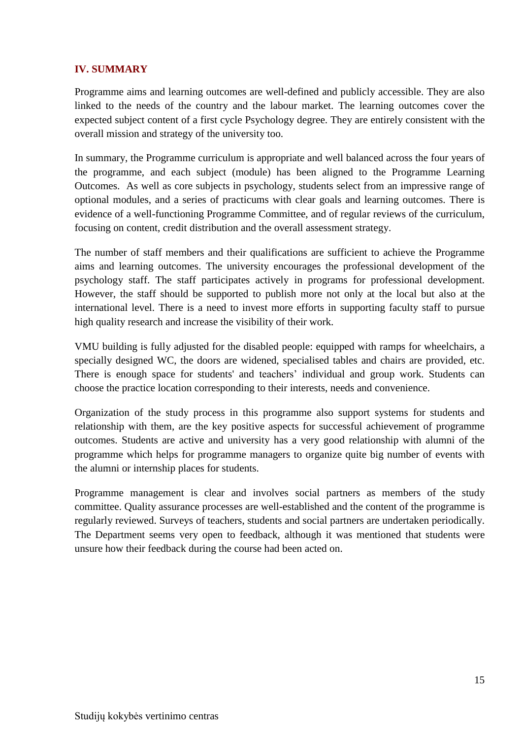#### **IV. SUMMARY**

Programme aims and learning outcomes are well-defined and publicly accessible. They are also linked to the needs of the country and the labour market. The learning outcomes cover the expected subject content of a first cycle Psychology degree. They are entirely consistent with the overall mission and strategy of the university too.

In summary, the Programme curriculum is appropriate and well balanced across the four years of the programme, and each subject (module) has been aligned to the Programme Learning Outcomes. As well as core subjects in psychology, students select from an impressive range of optional modules, and a series of practicums with clear goals and learning outcomes. There is evidence of a well-functioning Programme Committee, and of regular reviews of the curriculum, focusing on content, credit distribution and the overall assessment strategy.

The number of staff members and their qualifications are sufficient to achieve the Programme aims and learning outcomes. The university encourages the professional development of the psychology staff. The staff participates actively in programs for professional development. However, the staff should be supported to publish more not only at the local but also at the international level. There is a need to invest more efforts in supporting faculty staff to pursue high quality research and increase the visibility of their work.

VMU building is fully adjusted for the disabled people: equipped with ramps for wheelchairs, a specially designed WC, the doors are widened, specialised tables and chairs are provided, etc. There is enough space for students' and teachers' individual and group work. Students can choose the practice location corresponding to their interests, needs and convenience.

Organization of the study process in this programme also support systems for students and relationship with them, are the key positive aspects for successful achievement of programme outcomes. Students are active and university has a very good relationship with alumni of the programme which helps for programme managers to organize quite big number of events with the alumni or internship places for students.

Programme management is clear and involves social partners as members of the study committee. Quality assurance processes are well-established and the content of the programme is regularly reviewed. Surveys of teachers, students and social partners are undertaken periodically. The Department seems very open to feedback, although it was mentioned that students were unsure how their feedback during the course had been acted on.